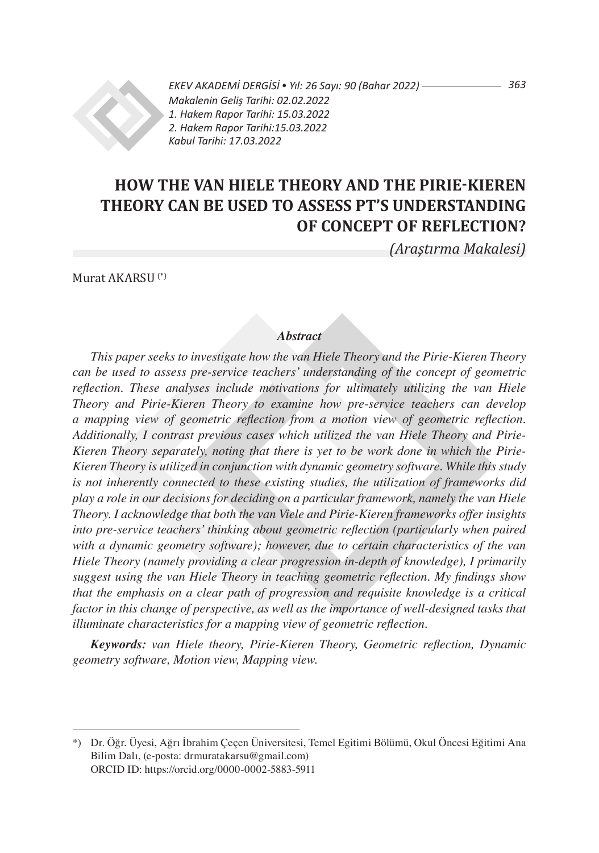

*363 EKEV AKADEMİ DERGİSİ* • *Yıl: 26 Sayı: 90 (Bahar 2022) Makalenin Geliş Tarihi: 02.02.2022 1. Hakem Rapor Tarihi: 15.03.2022 2. Hakem Rapor Tarihi:15.03.2022 Kabul Tarihi: 17.03.2022*

# **HOW THE VAN HIELE THEORY AND THE PIRIE-KIEREN THEORY CAN BE USED TO ASSESS PT's UNDERSTANDING OF CONCEPT OF REFLECTION?**

*(Araştırma Makalesi)*

Murat AKARSU (\*)

#### *Abstract*

*This paper seeks to investigate how the van Hiele Theory and the Pirie-Kieren Theory can be used to assess pre-service teachers' understanding of the concept of geometric reflection. These analyses include motivations for ultimately utilizing the van Hiele Theory and Pirie-Kieren Theory to examine how pre-service teachers can develop a mapping view of geometric reflection from a motion view of geometric reflection. Additionally, I contrast previous cases which utilized the van Hiele Theory and Pirie-Kieren Theory separately, noting that there is yet to be work done in which the Pirie-Kieren Theory is utilized in conjunction with dynamic geometry software. While this study is not inherently connected to these existing studies, the utilization of frameworks did play a role in our decisions for deciding on a particular framework, namely the van Hiele Theory. I acknowledge that both the van Viele and Pirie-Kieren frameworks offer insights into pre-service teachers' thinking about geometric reflection (particularly when paired with a dynamic geometry software); however, due to certain characteristics of the van Hiele Theory (namely providing a clear progression in-depth of knowledge), I primarily suggest using the van Hiele Theory in teaching geometric reflection. My findings show that the emphasis on a clear path of progression and requisite knowledge is a critical factor in this change of perspective, as well as the importance of well-designed tasks that illuminate characteristics for a mapping view of geometric reflection.*

*Keywords: van Hiele theory, Pirie-Kieren Theory, Geometric reflection, Dynamic geometry software, Motion view, Mapping view.* 

<sup>\*)</sup> Dr. Öğr. Üyesi, Ağrı İbrahim Çeçen Üniversitesi, Temel Egitimi Bölümü, Okul Öncesi Eğitimi Ana Bilim Dalı, (e-posta: drmuratakarsu@gmail.com) ORCID ID: https://orcid.org/0000-0002-5883-5911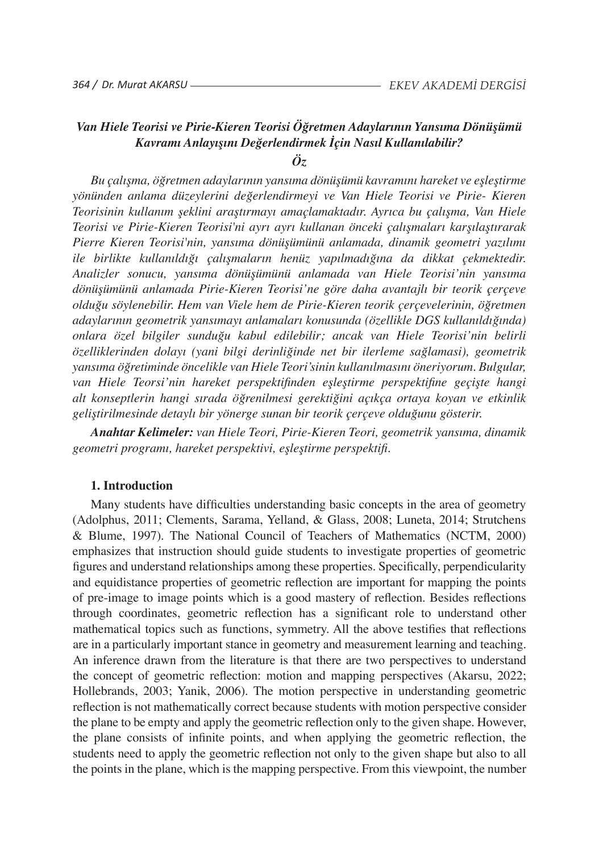# *Van Hiele Teorisi ve Pirie-Kieren Teorisi Öğretmen Adaylarının Yansıma Dönüşümü Kavramı Anlayışını Değerlendirmek İçin Nasıl Kullanılabilir?*

# *Öz*

*Bu çalışma, öğretmen adaylarının yansıma dönüşümü kavramını hareket ve eşleştirme yönünden anlama düzeylerini değerlendirmeyi ve Van Hiele Teorisi ve Pirie- Kieren Teorisinin kullanım şeklini araştırmayı amaçlamaktadır. Ayrıca bu çalışma, Van Hiele Teorisi ve Pirie-Kieren Teorisi'ni ayrı ayrı kullanan önceki çalışmaları karşılaştırarak Pierre Kieren Teorisi'nin, yansıma dönüşümünü anlamada, dinamik geometri yazılımı ile birlikte kullanıldığı çalışmaların henüz yapılmadığına da dikkat çekmektedir. Analizler sonucu, yansıma dönüşümünü anlamada van Hiele Teorisi'nin yansıma dönüşümünü anlamada Pirie-Kieren Teorisi'ne göre daha avantajlı bir teorik çerçeve olduğu söylenebilir. Hem van Viele hem de Pirie-Kieren teorik çerçevelerinin, öğretmen adaylarının geometrik yansımayı anlamaları konusunda (özellikle DGS kullanıldığında) onlara özel bilgiler sunduğu kabul edilebilir; ancak van Hiele Teorisi'nin belirli özelliklerinden dolayı (yani bilgi derinliğinde net bir ilerleme sağlamasi), geometrik yansıma öğretiminde öncelikle van Hiele Teori'sinin kullanılmasını öneriyorum. Bulgular, van Hiele Teorsi'nin hareket perspektifinden eşleştirme perspektifine geçişte hangi alt konseptlerin hangi sırada öğrenilmesi gerektiğini açıkça ortaya koyan ve etkinlik geliştirilmesinde detaylı bir yönerge sunan bir teorik çerçeve olduğunu gösterir.*

*Anahtar Kelimeler: van Hiele Teori, Pirie-Kieren Teori, geometrik yansıma, dinamik geometri programı, hareket perspektivi, eşleştirme perspektifi.*

#### **1. Introduction**

Many students have difficulties understanding basic concepts in the area of geometry (Adolphus, 2011; Clements, Sarama, Yelland, & Glass, 2008; Luneta, 2014; Strutchens & Blume, 1997). The National Council of Teachers of Mathematics (NCTM, 2000) emphasizes that instruction should guide students to investigate properties of geometric figures and understand relationships among these properties. Specifically, perpendicularity and equidistance properties of geometric reflection are important for mapping the points of pre-image to image points which is a good mastery of reflection. Besides reflections through coordinates, geometric reflection has a significant role to understand other mathematical topics such as functions, symmetry. All the above testifies that reflections are in a particularly important stance in geometry and measurement learning and teaching. An inference drawn from the literature is that there are two perspectives to understand the concept of geometric reflection: motion and mapping perspectives (Akarsu, 2022; Hollebrands, 2003; Yanik, 2006). The motion perspective in understanding geometric reflection is not mathematically correct because students with motion perspective consider the plane to be empty and apply the geometric reflection only to the given shape. However, the plane consists of infinite points, and when applying the geometric reflection, the students need to apply the geometric reflection not only to the given shape but also to all the points in the plane, which is the mapping perspective. From this viewpoint, the number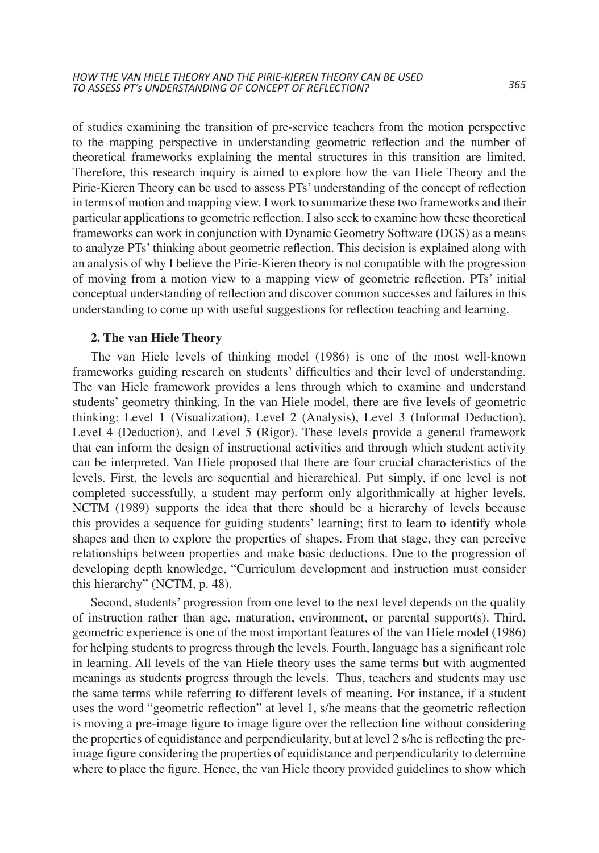of studies examining the transition of pre-service teachers from the motion perspective to the mapping perspective in understanding geometric reflection and the number of theoretical frameworks explaining the mental structures in this transition are limited. Therefore, this research inquiry is aimed to explore how the van Hiele Theory and the Pirie-Kieren Theory can be used to assess PTs' understanding of the concept of reflection in terms of motion and mapping view. I work to summarize these two frameworks and their particular applications to geometric reflection. I also seek to examine how these theoretical frameworks can work in conjunction with Dynamic Geometry Software (DGS) as a means to analyze PTs' thinking about geometric reflection. This decision is explained along with an analysis of why I believe the Pirie-Kieren theory is not compatible with the progression of moving from a motion view to a mapping view of geometric reflection. PTs' initial conceptual understanding of reflection and discover common successes and failures in this understanding to come up with useful suggestions for reflection teaching and learning.

#### **2. The van Hiele Theory**

The van Hiele levels of thinking model (1986) is one of the most well-known frameworks guiding research on students' difficulties and their level of understanding. The van Hiele framework provides a lens through which to examine and understand students' geometry thinking. In the van Hiele model, there are five levels of geometric thinking: Level 1 (Visualization), Level 2 (Analysis), Level 3 (Informal Deduction), Level 4 (Deduction), and Level 5 (Rigor). These levels provide a general framework that can inform the design of instructional activities and through which student activity can be interpreted. Van Hiele proposed that there are four crucial characteristics of the levels. First, the levels are sequential and hierarchical. Put simply, if one level is not completed successfully, a student may perform only algorithmically at higher levels. NCTM (1989) supports the idea that there should be a hierarchy of levels because this provides a sequence for guiding students' learning; first to learn to identify whole shapes and then to explore the properties of shapes. From that stage, they can perceive relationships between properties and make basic deductions. Due to the progression of developing depth knowledge, "Curriculum development and instruction must consider this hierarchy" (NCTM, p. 48).

Second, students' progression from one level to the next level depends on the quality of instruction rather than age, maturation, environment, or parental support(s). Third, geometric experience is one of the most important features of the van Hiele model (1986) for helping students to progress through the levels. Fourth, language has a significant role in learning. All levels of the van Hiele theory uses the same terms but with augmented meanings as students progress through the levels. Thus, teachers and students may use the same terms while referring to different levels of meaning. For instance, if a student uses the word "geometric reflection" at level 1, s/he means that the geometric reflection is moving a pre-image figure to image figure over the reflection line without considering the properties of equidistance and perpendicularity, but at level 2 s/he is reflecting the preimage figure considering the properties of equidistance and perpendicularity to determine where to place the figure. Hence, the van Hiele theory provided guidelines to show which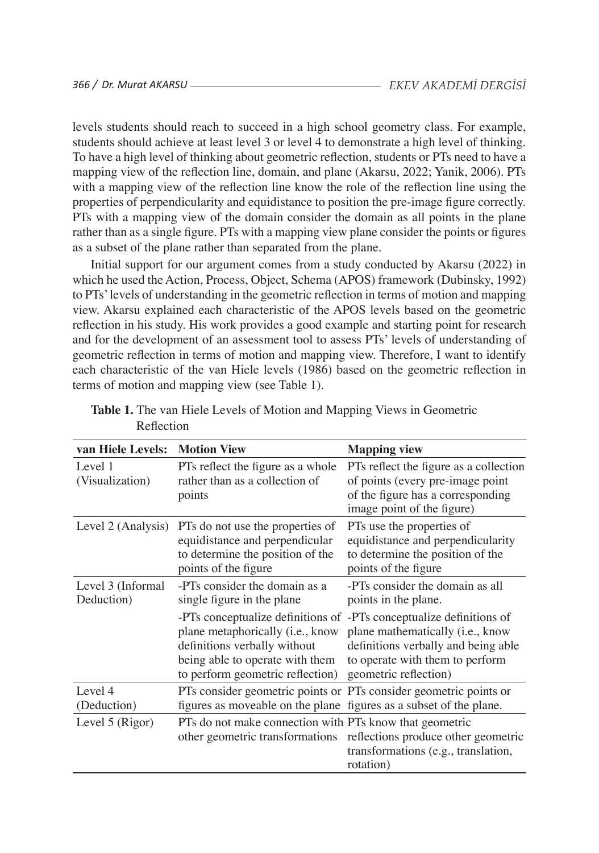levels students should reach to succeed in a high school geometry class. For example, students should achieve at least level 3 or level 4 to demonstrate a high level of thinking. To have a high level of thinking about geometric reflection, students or PTs need to have a mapping view of the reflection line, domain, and plane (Akarsu, 2022; Yanik, 2006). PTs with a mapping view of the reflection line know the role of the reflection line using the properties of perpendicularity and equidistance to position the pre-image figure correctly. PTs with a mapping view of the domain consider the domain as all points in the plane rather than as a single figure. PTs with a mapping view plane consider the points or figures as a subset of the plane rather than separated from the plane.

Initial support for our argument comes from a study conducted by Akarsu (2022) in which he used the Action, Process, Object, Schema (APOS) framework (Dubinsky, 1992) to PTs'levels of understanding in the geometric reflection in terms of motion and mapping view. Akarsu explained each characteristic of the APOS levels based on the geometric reflection in his study. His work provides a good example and starting point for research and for the development of an assessment tool to assess PTs' levels of understanding of geometric reflection in terms of motion and mapping view. Therefore, I want to identify each characteristic of the van Hiele levels (1986) based on the geometric reflection in terms of motion and mapping view (see Table 1).

| van Hiele Levels:               | <b>Motion View</b>                                                                                                                      |                                                                                                                                                                                                            |
|---------------------------------|-----------------------------------------------------------------------------------------------------------------------------------------|------------------------------------------------------------------------------------------------------------------------------------------------------------------------------------------------------------|
|                                 |                                                                                                                                         | <b>Mapping view</b>                                                                                                                                                                                        |
| Level 1<br>(Visualization)      | PTs reflect the figure as a whole<br>rather than as a collection of                                                                     | PTs reflect the figure as a collection<br>of points (every pre-image point                                                                                                                                 |
|                                 | points                                                                                                                                  | of the figure has a corresponding<br>image point of the figure)                                                                                                                                            |
| Level 2 (Analysis)              | PTs do not use the properties of<br>equidistance and perpendicular<br>to determine the position of the<br>points of the figure          | PTs use the properties of<br>equidistance and perpendicularity<br>to determine the position of the<br>points of the figure                                                                                 |
| Level 3 (Informal<br>Deduction) | -PTs consider the domain as a<br>single figure in the plane                                                                             | -PTs consider the domain as all<br>points in the plane.                                                                                                                                                    |
|                                 | plane metaphorically (i.e., know<br>definitions verbally without<br>being able to operate with them<br>to perform geometric reflection) | -PTs conceptualize definitions of -PTs conceptualize definitions of<br>plane mathematically (i.e., know<br>definitions verbally and being able<br>to operate with them to perform<br>geometric reflection) |
| Level 4<br>(Deduction)          | figures as moveable on the plane figures as a subset of the plane.                                                                      | PTs consider geometric points or PTs consider geometric points or                                                                                                                                          |
| Level 5 (Rigor)                 | PTs do not make connection with PTs know that geometric                                                                                 | other geometric transformations reflections produce other geometric<br>transformations (e.g., translation,<br>rotation)                                                                                    |

Table 1. The van Hiele Levels of Motion and Mapping Views in Geometric Reflection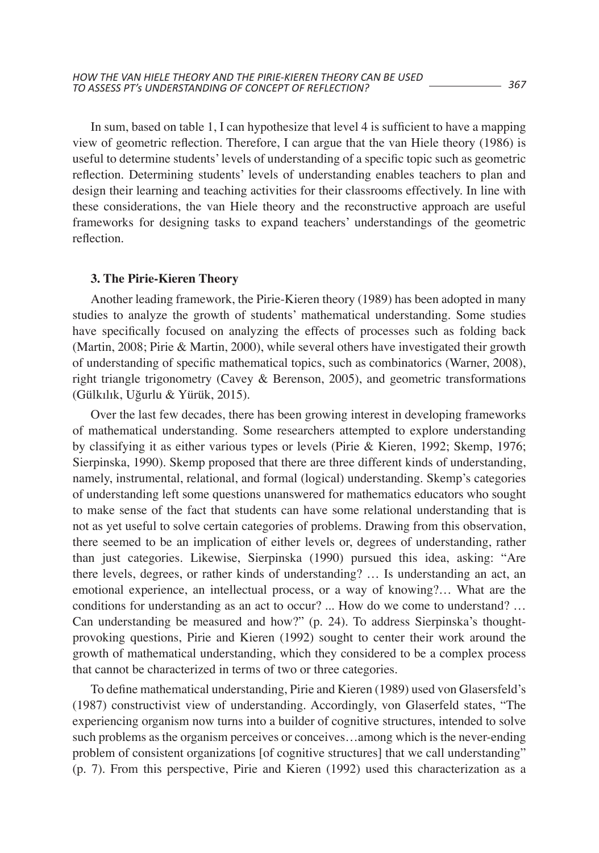In sum, based on table 1, I can hypothesize that level 4 is sufficient to have a mapping view of geometric reflection. Therefore, I can argue that the van Hiele theory (1986) is useful to determine students'levels of understanding of a specific topic such as geometric reflection. Determining students' levels of understanding enables teachers to plan and design their learning and teaching activities for their classrooms effectively. In line with these considerations, the van Hiele theory and the reconstructive approach are useful frameworks for designing tasks to expand teachers' understandings of the geometric reflection.

#### **3. The Pirie-Kieren Theory**

Another leading framework, the Pirie-Kieren theory (1989) has been adopted in many studies to analyze the growth of students' mathematical understanding. Some studies have specifically focused on analyzing the effects of processes such as folding back (Martin, 2008; Pirie & Martin, 2000), while several others have investigated their growth of understanding of specific mathematical topics, such as combinatorics (Warner, 2008), right triangle trigonometry (Cavey & Berenson, 2005), and geometric transformations (Gülkılık, Uğurlu & Yürük, 2015).

Over the last few decades, there has been growing interest in developing frameworks of mathematical understanding. Some researchers attempted to explore understanding by classifying it as either various types or levels (Pirie & Kieren, 1992; Skemp, 1976; Sierpinska, 1990). Skemp proposed that there are three different kinds of understanding, namely, instrumental, relational, and formal (logical) understanding. Skemp's categories of understanding left some questions unanswered for mathematics educators who sought to make sense of the fact that students can have some relational understanding that is not as yet useful to solve certain categories of problems. Drawing from this observation, there seemed to be an implication of either levels or, degrees of understanding, rather than just categories. Likewise, Sierpinska (1990) pursued this idea, asking: "Are there levels, degrees, or rather kinds of understanding? … Is understanding an act, an emotional experience, an intellectual process, or a way of knowing?… What are the conditions for understanding as an act to occur? ... How do we come to understand? … Can understanding be measured and how?" (p. 24). To address Sierpinska's thoughtprovoking questions, Pirie and Kieren (1992) sought to center their work around the growth of mathematical understanding, which they considered to be a complex process that cannot be characterized in terms of two or three categories.

To define mathematical understanding, Pirie and Kieren (1989) used von Glasersfeld's (1987) constructivist view of understanding. Accordingly, von Glaserfeld states, "The experiencing organism now turns into a builder of cognitive structures, intended to solve such problems as the organism perceives or conceives…among which is the never-ending problem of consistent organizations [of cognitive structures] that we call understanding" (p. 7). From this perspective, Pirie and Kieren (1992) used this characterization as a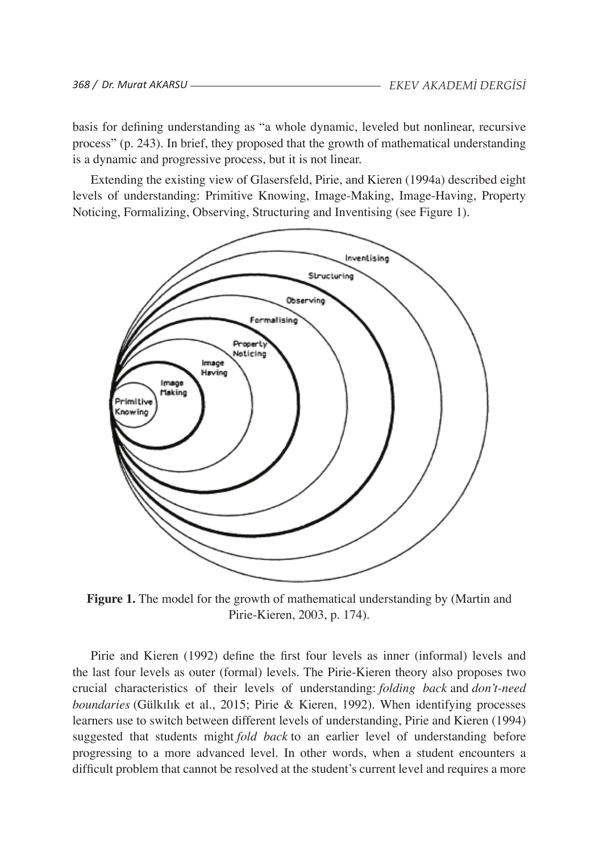basis for defining understanding as "a whole dynamic, leveled but nonlinear, recursive process" (p. 243). In brief, they proposed that the growth of mathematical understanding is a dynamic and progressive process, but it is not linear.

Extending the existing view of Glasersfeld, Pirie, and Kieren (1994a) described eight levels of understanding: Primitive Knowing, Image-Making, Image-Having, Property Noticing, Formalizing, Observing, Structuring and Inventising (see Figure 1).



**Figure 1.** The model for the growth of mathematical understanding by (Martin and **Figure 1.** The model for the growth of mathematical understanding by Pirie-Kieren, 2003, p. 174).  $\overline{P}$  Hic-Kieren, 200

Pirie and Kieren (1992) define the first four levels as inner (informal) levels and Pirie and Kieren (1992) define the first four levels as inner the last four levels as outer (formal) levels. The Pirie-Kieren theory also proposes two crucial characteristics of their levels of understanding: *folding back* and *don't-need*  boundaries (Gülkılık et al., 2015; Pirie & Kieren, 1992). When identifying processes learners use to switch between different levels of understanding, Pirie and Kieren (1994)<br>measured that students wisht feld hashte an asplice land of understanding hafans suggested that students might *fold back* to an earlier level of understanding before progressing to a more advanced level. In other words, when a student encounters a difficult problem that cannot be resolved at the student's current level and requires a more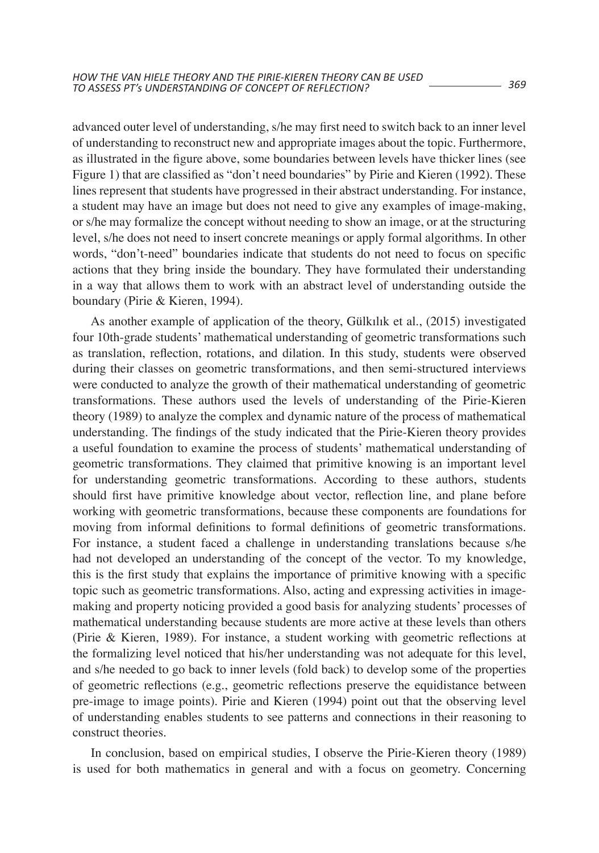advanced outer level of understanding, s/he may first need to switch back to an inner level of understanding to reconstruct new and appropriate images about the topic. Furthermore, as illustrated in the figure above, some boundaries between levels have thicker lines (see Figure 1) that are classified as "don't need boundaries" by Pirie and Kieren (1992). These lines represent that students have progressed in their abstract understanding. For instance, a student may have an image but does not need to give any examples of image-making, or s/he may formalize the concept without needing to show an image, or at the structuring level, s/he does not need to insert concrete meanings or apply formal algorithms. In other words, "don't-need" boundaries indicate that students do not need to focus on specific actions that they bring inside the boundary. They have formulated their understanding in a way that allows them to work with an abstract level of understanding outside the boundary (Pirie & Kieren, 1994).

As another example of application of the theory, Gülkılık et al., (2015) investigated four 10th-grade students' mathematical understanding of geometric transformations such as translation, reflection, rotations, and dilation. In this study, students were observed during their classes on geometric transformations, and then semi-structured interviews were conducted to analyze the growth of their mathematical understanding of geometric transformations. These authors used the levels of understanding of the Pirie-Kieren theory (1989) to analyze the complex and dynamic nature of the process of mathematical understanding. The findings of the study indicated that the Pirie-Kieren theory provides a useful foundation to examine the process of students' mathematical understanding of geometric transformations. They claimed that primitive knowing is an important level for understanding geometric transformations. According to these authors, students should first have primitive knowledge about vector, reflection line, and plane before working with geometric transformations, because these components are foundations for moving from informal definitions to formal definitions of geometric transformations. For instance, a student faced a challenge in understanding translations because s/he had not developed an understanding of the concept of the vector. To my knowledge, this is the first study that explains the importance of primitive knowing with a specific topic such as geometric transformations. Also, acting and expressing activities in imagemaking and property noticing provided a good basis for analyzing students' processes of mathematical understanding because students are more active at these levels than others (Pirie & Kieren, 1989). For instance, a student working with geometric reflections at the formalizing level noticed that his/her understanding was not adequate for this level, and s/he needed to go back to inner levels (fold back) to develop some of the properties of geometric reflections (e.g., geometric reflections preserve the equidistance between pre-image to image points). Pirie and Kieren (1994) point out that the observing level of understanding enables students to see patterns and connections in their reasoning to construct theories.

In conclusion, based on empirical studies, I observe the Pirie-Kieren theory (1989) is used for both mathematics in general and with a focus on geometry. Concerning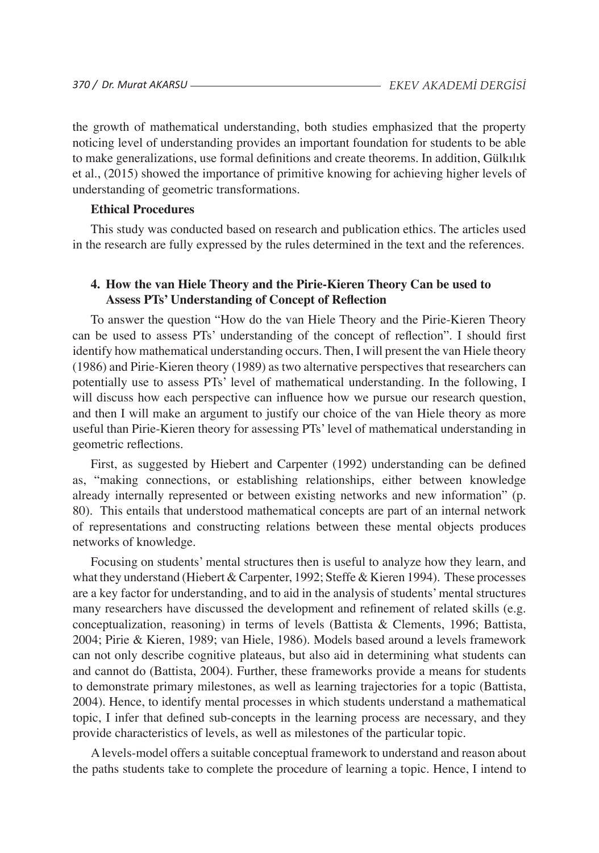the growth of mathematical understanding, both studies emphasized that the property noticing level of understanding provides an important foundation for students to be able to make generalizations, use formal definitions and create theorems. In addition, Gülkılık et al., (2015) showed the importance of primitive knowing for achieving higher levels of understanding of geometric transformations.

### **Ethical Procedures**

This study was conducted based on research and publication ethics. The articles used in the research are fully expressed by the rules determined in the text and the references.

## **4. How the van Hiele Theory and the Pirie-Kieren Theory Can be used to Assess PTs' Understanding of Concept of Reflection**

To answer the question "How do the van Hiele Theory and the Pirie-Kieren Theory can be used to assess PTs' understanding of the concept of reflection". I should first identify how mathematical understanding occurs. Then, I will present the van Hiele theory (1986) and Pirie-Kieren theory (1989) as two alternative perspectives that researchers can potentially use to assess PTs' level of mathematical understanding. In the following, I will discuss how each perspective can influence how we pursue our research question, and then I will make an argument to justify our choice of the van Hiele theory as more useful than Pirie-Kieren theory for assessing PTs'level of mathematical understanding in geometric reflections.

First, as suggested by Hiebert and Carpenter (1992) understanding can be defined as, "making connections, or establishing relationships, either between knowledge already internally represented or between existing networks and new information" (p. 80). This entails that understood mathematical concepts are part of an internal network of representations and constructing relations between these mental objects produces networks of knowledge.

Focusing on students' mental structures then is useful to analyze how they learn, and what they understand (Hiebert & Carpenter, 1992; Steffe & Kieren 1994). These processes are a key factor for understanding, and to aid in the analysis of students'mental structures many researchers have discussed the development and refinement of related skills (e.g. conceptualization, reasoning) in terms of levels (Battista & Clements, 1996; Battista, 2004; Pirie & Kieren, 1989; van Hiele, 1986). Models based around a levels framework can not only describe cognitive plateaus, but also aid in determining what students can and cannot do (Battista, 2004). Further, these frameworks provide a means for students to demonstrate primary milestones, as well as learning trajectories for a topic (Battista, 2004). Hence, to identify mental processes in which students understand a mathematical topic, I infer that defined sub-concepts in the learning process are necessary, and they provide characteristics of levels, as well as milestones of the particular topic.

Alevels-model offers a suitable conceptual framework to understand and reason about the paths students take to complete the procedure of learning a topic. Hence, I intend to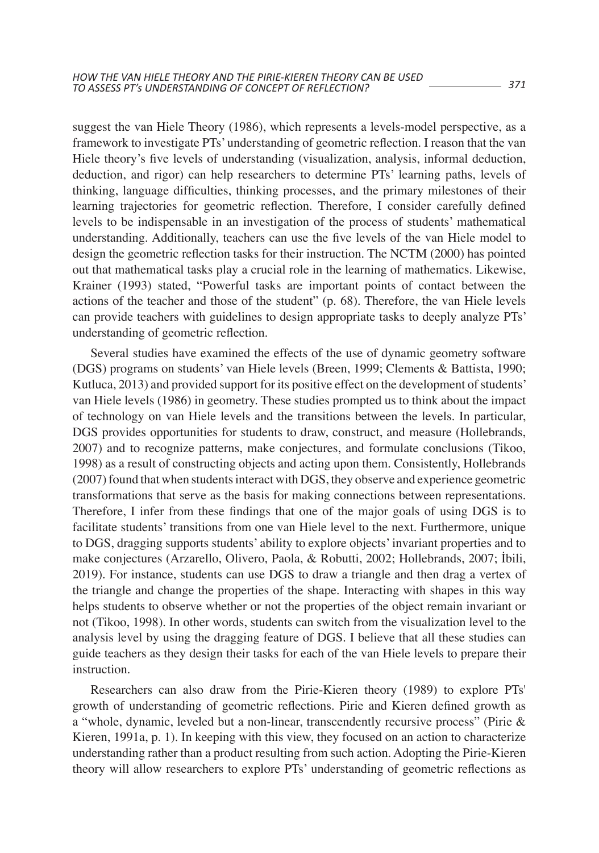suggest the van Hiele Theory (1986), which represents a levels-model perspective, as a framework to investigate PTs' understanding of geometric reflection. I reason that the van Hiele theory's five levels of understanding (visualization, analysis, informal deduction, deduction, and rigor) can help researchers to determine PTs' learning paths, levels of thinking, language difficulties, thinking processes, and the primary milestones of their learning trajectories for geometric reflection. Therefore, I consider carefully defined levels to be indispensable in an investigation of the process of students' mathematical understanding. Additionally, teachers can use the five levels of the van Hiele model to design the geometric reflection tasks for their instruction. The NCTM (2000) has pointed out that mathematical tasks play a crucial role in the learning of mathematics. Likewise, Krainer (1993) stated, "Powerful tasks are important points of contact between the actions of the teacher and those of the student" (p. 68). Therefore, the van Hiele levels can provide teachers with guidelines to design appropriate tasks to deeply analyze PTs' understanding of geometric reflection.

Several studies have examined the effects of the use of dynamic geometry software (DGS) programs on students' van Hiele levels (Breen, 1999; Clements & Battista, 1990; Kutluca, 2013) and provided support for its positive effect on the development of students' van Hiele levels (1986) in geometry. These studies prompted us to think about the impact of technology on van Hiele levels and the transitions between the levels. In particular, DGS provides opportunities for students to draw, construct, and measure (Hollebrands, 2007) and to recognize patterns, make conjectures, and formulate conclusions (Tikoo, 1998) as a result of constructing objects and acting upon them. Consistently, Hollebrands  $(2007)$  found that when students interact with DGS, they observe and experience geometric transformations that serve as the basis for making connections between representations. Therefore, I infer from these findings that one of the major goals of using DGS is to facilitate students' transitions from one van Hiele level to the next. Furthermore, unique to DGS, dragging supports students' ability to explore objects'invariant properties and to make conjectures (Arzarello, Olivero, Paola, & Robutti, 2002; Hollebrands, 2007; İbili, 2019). For instance, students can use DGS to draw a triangle and then drag a vertex of the triangle and change the properties of the shape. Interacting with shapes in this way helps students to observe whether or not the properties of the object remain invariant or not (Tikoo, 1998). In other words, students can switch from the visualization level to the analysis level by using the dragging feature of DGS. I believe that all these studies can guide teachers as they design their tasks for each of the van Hiele levels to prepare their instruction.

Researchers can also draw from the Pirie-Kieren theory (1989) to explore PTs' growth of understanding of geometric reflections. Pirie and Kieren defined growth as a "whole, dynamic, leveled but a non-linear, transcendently recursive process" (Pirie & Kieren, 1991a, p. 1). In keeping with this view, they focused on an action to characterize understanding rather than a product resulting from such action. Adopting the Pirie-Kieren theory will allow researchers to explore PTs' understanding of geometric reflections as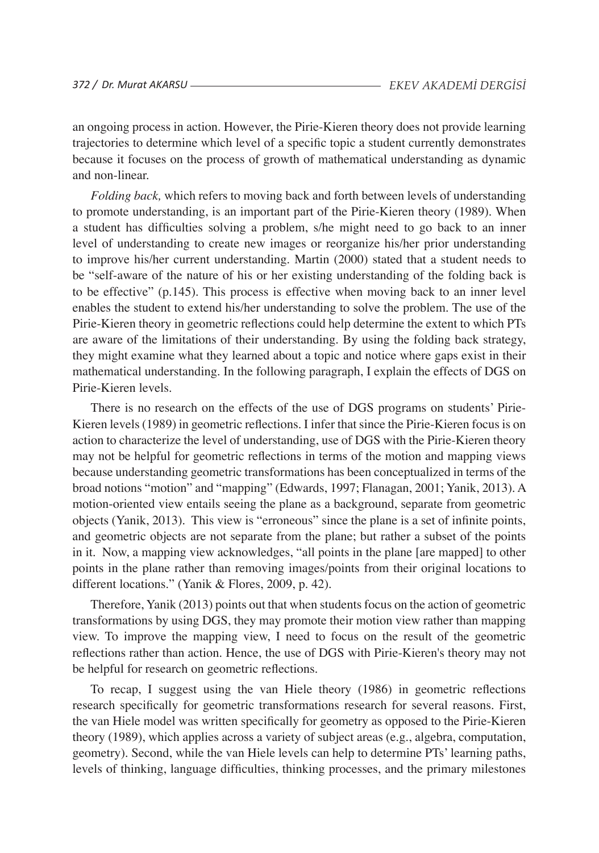an ongoing process in action. However, the Pirie-Kieren theory does not provide learning trajectories to determine which level of a specific topic a student currently demonstrates because it focuses on the process of growth of mathematical understanding as dynamic and non-linear.

*Folding back,* which refers to moving back and forth between levels of understanding to promote understanding, is an important part of the Pirie-Kieren theory (1989). When a student has difficulties solving a problem, s/he might need to go back to an inner level of understanding to create new images or reorganize his/her prior understanding to improve his/her current understanding. Martin (2000) stated that a student needs to be "self-aware of the nature of his or her existing understanding of the folding back is to be effective" (p.145). This process is effective when moving back to an inner level enables the student to extend his/her understanding to solve the problem. The use of the Pirie-Kieren theory in geometric reflections could help determine the extent to which PTs are aware of the limitations of their understanding. By using the folding back strategy, they might examine what they learned about a topic and notice where gaps exist in their mathematical understanding. In the following paragraph, I explain the effects of DGS on Pirie-Kieren levels.

There is no research on the effects of the use of DGS programs on students' Pirie-Kieren levels (1989) in geometric reflections. I infer that since the Pirie-Kieren focus is on action to characterize the level of understanding, use of DGS with the Pirie-Kieren theory may not be helpful for geometric reflections in terms of the motion and mapping views because understanding geometric transformations has been conceptualized in terms of the broad notions "motion" and "mapping" (Edwards, 1997; Flanagan, 2001; Yanik, 2013). A motion-oriented view entails seeing the plane as a background, separate from geometric objects (Yanik, 2013). This view is "erroneous" since the plane is a set of infinite points, and geometric objects are not separate from the plane; but rather a subset of the points in it. Now, a mapping view acknowledges, "all points in the plane [are mapped] to other points in the plane rather than removing images/points from their original locations to different locations." (Yanik & Flores, 2009, p. 42).

Therefore, Yanik (2013) points out that when studentsfocus on the action of geometric transformations by using DGS, they may promote their motion view rather than mapping view. To improve the mapping view, I need to focus on the result of the geometric reflections rather than action. Hence, the use of DGS with Pirie-Kieren's theory may not be helpful for research on geometric reflections.

To recap, I suggest using the van Hiele theory (1986) in geometric reflections research specifically for geometric transformations research for several reasons. First, the van Hiele model was written specifically for geometry as opposed to the Pirie-Kieren theory (1989), which applies across a variety of subject areas (e.g., algebra, computation, geometry). Second, while the van Hiele levels can help to determine PTs' learning paths, levels of thinking, language difficulties, thinking processes, and the primary milestones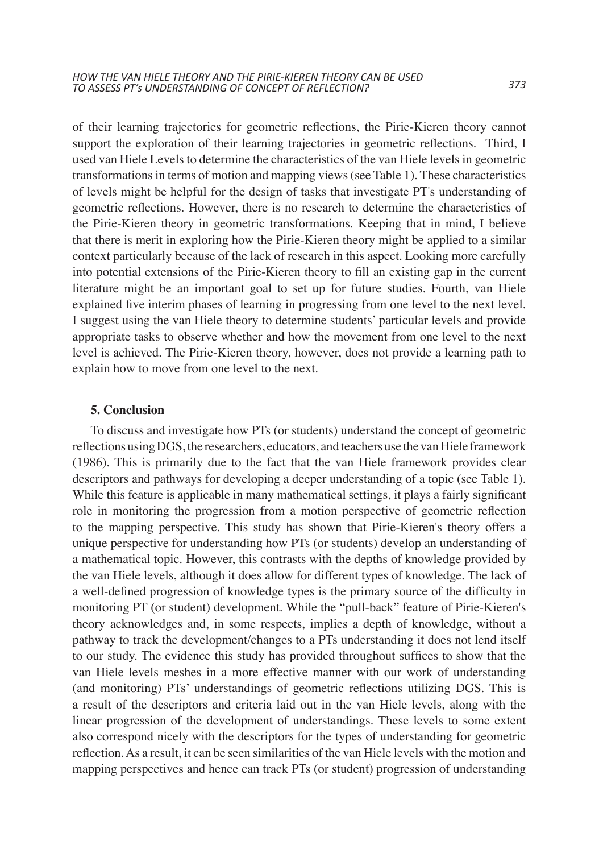of their learning trajectories for geometric reflections, the Pirie-Kieren theory cannot support the exploration of their learning trajectories in geometric reflections. Third, I used van Hiele Levels to determine the characteristics of the van Hiele levels in geometric transformationsin terms of motion and mapping views(see Table 1). These characteristics of levels might be helpful for the design of tasks that investigate PT's understanding of geometric reflections. However, there is no research to determine the characteristics of the Pirie-Kieren theory in geometric transformations. Keeping that in mind, I believe that there is merit in exploring how the Pirie-Kieren theory might be applied to a similar context particularly because of the lack of research in this aspect. Looking more carefully into potential extensions of the Pirie-Kieren theory to fill an existing gap in the current literature might be an important goal to set up for future studies. Fourth, van Hiele explained five interim phases of learning in progressing from one level to the next level. I suggest using the van Hiele theory to determine students' particular levels and provide appropriate tasks to observe whether and how the movement from one level to the next level is achieved. The Pirie-Kieren theory, however, does not provide a learning path to explain how to move from one level to the next.

### **5. Conclusion**

To discuss and investigate how PTs (or students) understand the concept of geometric reflections using DGS, the researchers, educators, and teachers use the van Hiele framework (1986). This is primarily due to the fact that the van Hiele framework provides clear descriptors and pathways for developing a deeper understanding of a topic (see Table 1). While this feature is applicable in many mathematical settings, it plays a fairly significant role in monitoring the progression from a motion perspective of geometric reflection to the mapping perspective. This study has shown that Pirie-Kieren's theory offers a unique perspective for understanding how PTs (or students) develop an understanding of a mathematical topic. However, this contrasts with the depths of knowledge provided by the van Hiele levels, although it does allow for different types of knowledge. The lack of a well-defined progression of knowledge types is the primary source of the difficulty in monitoring PT (or student) development. While the "pull-back" feature of Pirie-Kieren's theory acknowledges and, in some respects, implies a depth of knowledge, without a pathway to track the development/changes to a PTs understanding it does not lend itself to our study. The evidence this study has provided throughout suffices to show that the van Hiele levels meshes in a more effective manner with our work of understanding (and monitoring) PTs' understandings of geometric reflections utilizing DGS. This is a result of the descriptors and criteria laid out in the van Hiele levels, along with the linear progression of the development of understandings. These levels to some extent also correspond nicely with the descriptors for the types of understanding for geometric reflection.As a result, it can be seen similarities of the van Hiele levels with the motion and mapping perspectives and hence can track PTs (or student) progression of understanding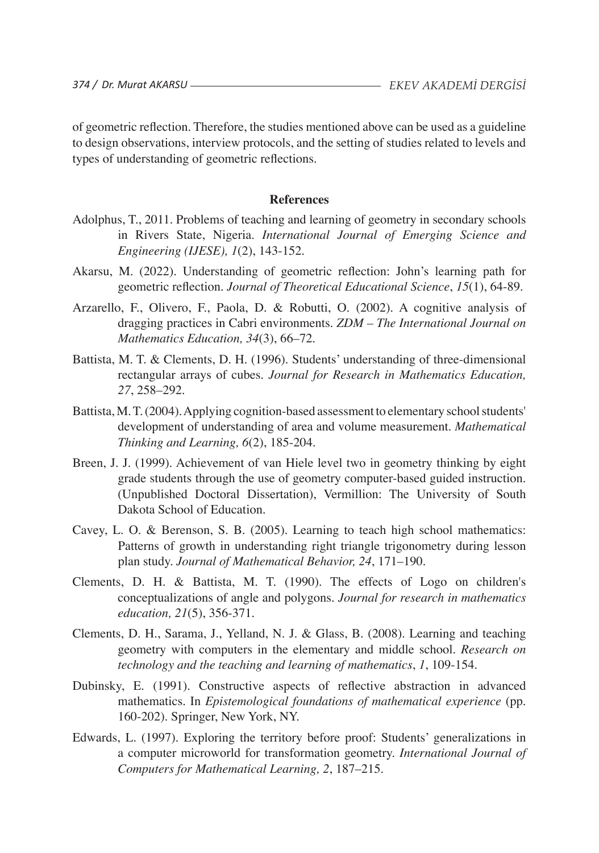of geometric reflection. Therefore, the studies mentioned above can be used as a guideline to design observations, interview protocols, and the setting of studies related to levels and types of understanding of geometric reflections.

#### **References**

- Adolphus, T., 2011. Problems of teaching and learning of geometry in secondary schools in Rivers State, Nigeria. *International Journal of Emerging Science and Engineering (IJESE), 1*(2), 143-152.
- Akarsu, M. (2022). Understanding of geometric reflection: John's learning path for geometric reflection. *Journal of Theoretical Educational Science*, *15*(1), 64-89.
- Arzarello, F., Olivero, F., Paola, D. & Robutti, O. (2002). A cognitive analysis of dragging practices in Cabri environments. *ZDM – The International Journal on Mathematics Education, 34*(3), 66–72.
- Battista, M. T. & Clements, D. H. (1996). Students' understanding of three-dimensional rectangular arrays of cubes. *Journal for Research in Mathematics Education, 27*, 258–292.
- Battista, M.T. (2004). Applying cognition-based assessment to elementary school students' development of understanding of area and volume measurement. *Mathematical Thinking and Learning, 6*(2), 185-204.
- Breen, J. J. (1999). Achievement of van Hiele level two in geometry thinking by eight grade students through the use of geometry computer-based guided instruction. (Unpublished Doctoral Dissertation), Vermillion: The University of South Dakota School of Education.
- Cavey, L. O. & Berenson, S. B. (2005). Learning to teach high school mathematics: Patterns of growth in understanding right triangle trigonometry during lesson plan study. *Journal of Mathematical Behavior, 24*, 171–190.
- Clements, D. H. & Battista, M. T. (1990). The effects of Logo on children's conceptualizations of angle and polygons. *Journal for research in mathematics education, 21*(5), 356-371.
- Clements, D. H., Sarama, J., Yelland, N. J. & Glass, B. (2008). Learning and teaching geometry with computers in the elementary and middle school. *Research on technology and the teaching and learning of mathematics*, *1*, 109-154.
- Dubinsky, E. (1991). Constructive aspects of reflective abstraction in advanced mathematics. In *Epistemological foundations of mathematical experience* (pp. 160-202). Springer, New York, NY.
- Edwards, L. (1997). Exploring the territory before proof: Students' generalizations in a computer microworld for transformation geometry. *International Journal of Computers for Mathematical Learning, 2*, 187–215.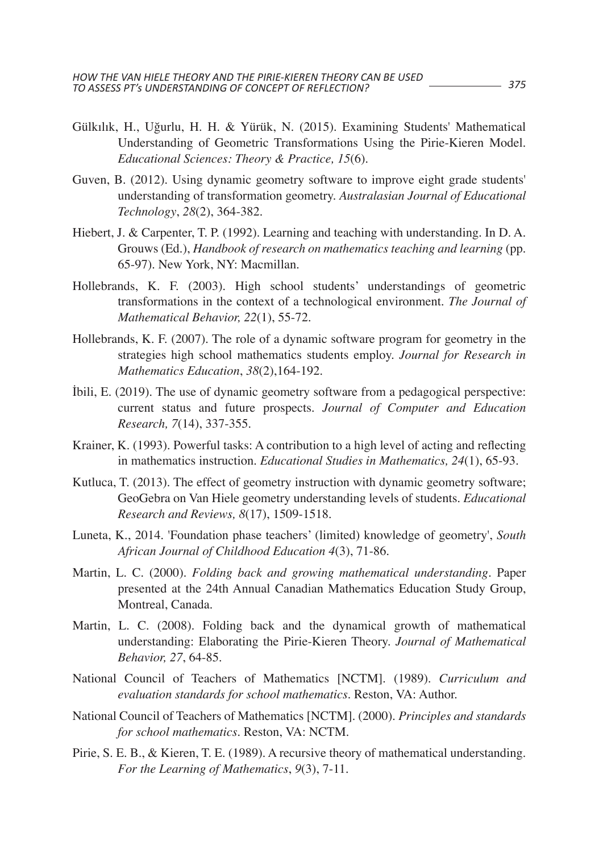- Gülkılık, H., Uğurlu, H. H. & Yürük, N. (2015). Examining Students' Mathematical Understanding of Geometric Transformations Using the Pirie-Kieren Model. *Educational Sciences: Theory & Practice, 15*(6).
- Guven, B. (2012). Using dynamic geometry software to improve eight grade students' understanding of transformation geometry. *Australasian Journal of Educational Technology*, *28*(2), 364-382.
- Hiebert, J. & Carpenter, T. P. (1992). Learning and teaching with understanding. In D. A. Grouws (Ed.), *Handbook of research on mathematics teaching and learning* (pp. 65-97). New York, NY: Macmillan.
- Hollebrands, K. F. (2003). High school students' understandings of geometric transformations in the context of a technological environment. *The Journal of Mathematical Behavior, 22*(1), 55-72.
- Hollebrands, K. F. (2007). The role of a dynamic software program for geometry in the strategies high school mathematics students employ. *Journal for Research in Mathematics Education*, *38*(2),164-192.
- İbili, E. (2019). The use of dynamic geometry software from a pedagogical perspective: current status and future prospects. *Journal of Computer and Education Research, 7*(14), 337-355.
- Krainer, K. (1993). Powerful tasks: A contribution to a high level of acting and reflecting in mathematics instruction. *Educational Studies in Mathematics, 24*(1), 65-93.
- Kutluca, T. (2013). The effect of geometry instruction with dynamic geometry software; GeoGebra on Van Hiele geometry understanding levels of students. *Educational Research and Reviews, 8*(17), 1509-1518.
- Luneta, K., 2014. 'Foundation phase teachers' (limited) knowledge of geometry', *South African Journal of Childhood Education 4*(3), 71-86.
- Martin, L. C. (2000). *Folding back and growing mathematical understanding*. Paper presented at the 24th Annual Canadian Mathematics Education Study Group, Montreal, Canada.
- Martin, L. C. (2008). Folding back and the dynamical growth of mathematical understanding: Elaborating the Pirie-Kieren Theory. *Journal of Mathematical Behavior, 27*, 64-85.
- National Council of Teachers of Mathematics [NCTM]. (1989). *Curriculum and evaluation standards for school mathematics*. Reston, VA: Author.
- National Council of Teachers of Mathematics [NCTM]. (2000). *Principles and standards for school mathematics.* Reston, VA: NCTM.
- Pirie, S. E. B., & Kieren, T. E. (1989). A recursive theory of mathematical understanding. *For the Learning of Mathematics*, *9*(3), 7-11.